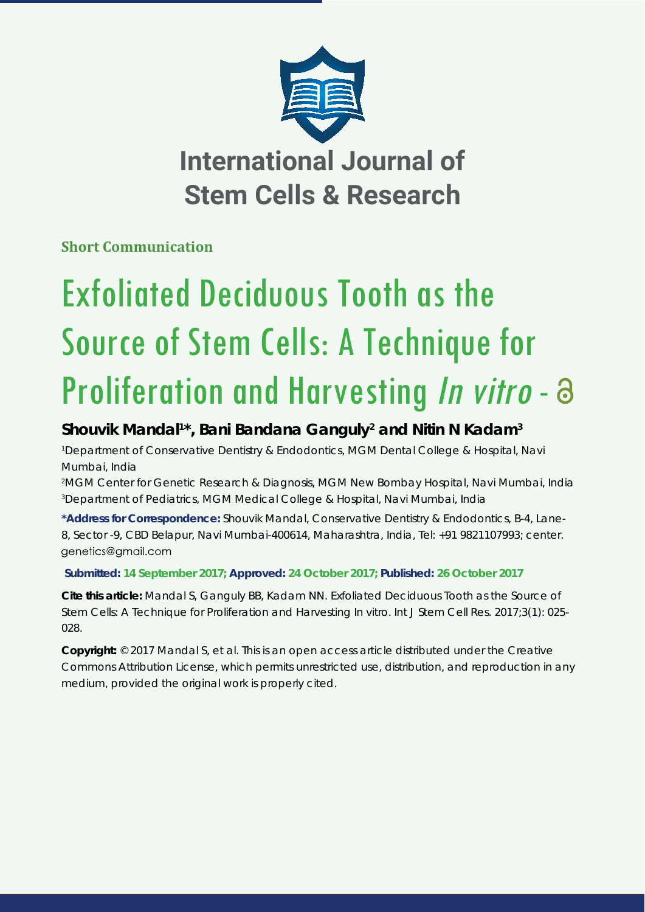

**Short Communication**

# Exfoliated Deciduous Tooth as the Source of Stem Cells: A Technique for Proliferation and Harvesting In vitro - 3

## Shouvik Mandal<sup>1\*</sup>, Bani Bandana Ganguly<sup>2</sup> and Nitin N Kadam<sup>3</sup>

<sup>1</sup>Department of Conservative Dentistry & Endodontics, MGM Dental College & Hospital, Navi *Mumbai, India*

*2 MGM Center for Genetic Research & Diagnosis, MGM New Bombay Hospital, Navi Mumbai, India 3 Department of Pediatrics, MGM Medical College & Hospital, Navi Mumbai, India*

**\*Address for Correspondence:** Shouvik Mandal, Conservative Dentistry & Endodontics, B-4, Lane-8, Sector -9, CBD Belapur, Navi Mumbai-400614, Maharashtra, India, Tel: +91 9821107993; center. genetics@gmail.com

### **Submitted: 14 September 2017; Approved: 24 October 2017; Published: 26 October 2017**

**Cite this article:** Mandal S, Ganguly BB, Kadam NN. Exfoliated Deciduous Tooth as the Source of Stem Cells: A Technique for Proliferation and Harvesting *In vitro*. Int J Stem Cell Res. 2017;3(1): 025- 028.

**Copyright:** © 2017 Mandal S, et al. This is an open access article distributed under the Creative Commons Attribution License, which permits unrestricted use, distribution, and reproduction in any medium, provided the original work is properly cited.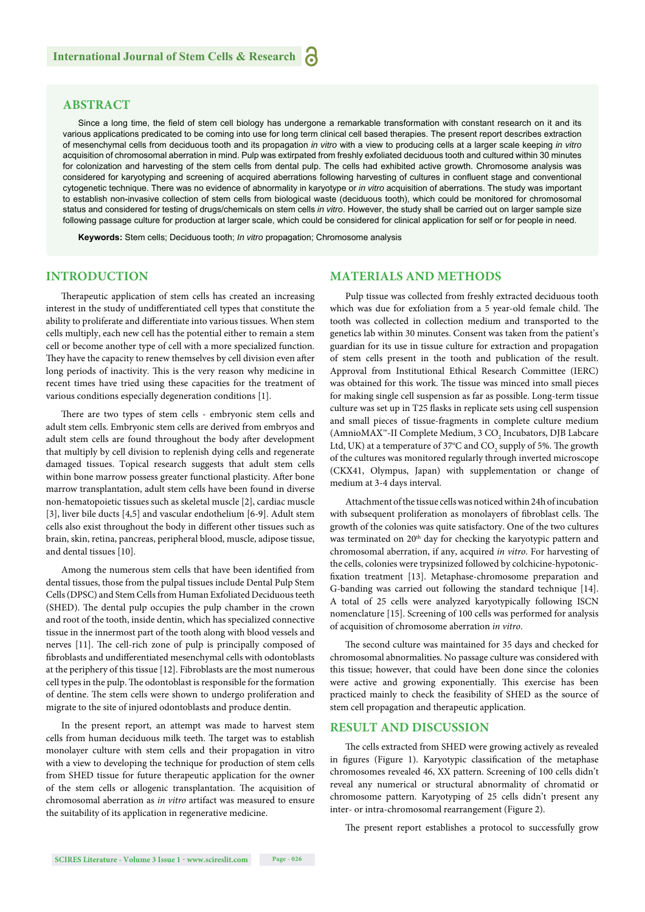#### **ABSTRACT**

Since a long time, the field of stem cell biology has undergone a remarkable transformation with constant research on it and its various applications predicated to be coming into use for long term clinical cell based therapies. The present report describes extraction of mesenchymal cells from deciduous tooth and its propagation *in vitro* with a view to producing cells at a larger scale keeping *in vitro* acquisition of chromosomal aberration in mind. Pulp was extirpated from freshly exfoliated deciduous tooth and cultured within 30 minutes for colonization and harvesting of the stem cells from dental pulp. The cells had exhibited active growth. Chromosome analysis was considered for karyotyping and screening of acquired aberrations following harvesting of cultures in confluent stage and conventional cytogenetic technique. There was no evidence of abnormality in karyotype or *in vitro* acquisition of aberrations. The study was important to establish non-invasive collection of stem cells from biological waste (deciduous tooth), which could be monitored for chromosomal status and considered for testing of drugs/chemicals on stem cells *in vitro*. However, the study shall be carried out on larger sample size following passage culture for production at larger scale, which could be considered for clinical application for self or for people in need.

**Keywords:** Stem cells; Deciduous tooth; *In vitro* propagation; Chromosome analysis

#### **INTRODUCTION**

Therapeutic application of stem cells has created an increasing interest in the study of undifferentiated cell types that constitute the ability to proliferate and differentiate into various tissues. When stem cells multiply, each new cell has the potential either to remain a stem cell or become another type of cell with a more specialized function. They have the capacity to renew themselves by cell division even after long periods of inactivity. This is the very reason why medicine in recent times have tried using these capacities for the treatment of various conditions especially degeneration conditions [1].

There are two types of stem cells - embryonic stem cells and adult stem cells. Embryonic stem cells are derived from embryos and adult stem cells are found throughout the body after development that multiply by cell division to replenish dying cells and regenerate damaged tissues. Topical research suggests that adult stem cells within bone marrow possess greater functional plasticity. After bone marrow transplantation, adult stem cells have been found in diverse non-hematopoietic tissues such as skeletal muscle [2], cardiac muscle [3], liver bile ducts [4,5] and vascular endothelium [6-9]. Adult stem cells also exist throughout the body in different other tissues such as brain, skin, retina, pancreas, peripheral blood, muscle, adipose tissue, and dental tissues [10].

Among the numerous stem cells that have been identified from dental tissues, those from the pulpal tissues include Dental Pulp Stem Cells (DPSC) and Stem Cells from Human Exfoliated Deciduous teeth (SHED). The dental pulp occupies the pulp chamber in the crown and root of the tooth, inside dentin, which has specialized connective tissue in the innermost part of the tooth along with blood vessels and nerves [11]. The cell-rich zone of pulp is principally composed of fibroblasts and undifferentiated mesenchymal cells with odontoblasts at the periphery of this tissue [12]. Fibroblasts are the most numerous cell types in the pulp. The odontoblast is responsible for the formation of dentine. The stem cells were shown to undergo proliferation and migrate to the site of injured odontoblasts and produce dentin.

In the present report, an attempt was made to harvest stem cells from human deciduous milk teeth. The target was to establish monolayer culture with stem cells and their propagation in vitro with a view to developing the technique for production of stem cells from SHED tissue for future therapeutic application for the owner of the stem cells or allogenic transplantation. The acquisition of chromosomal aberration as *in vitro* artifact was measured to ensure the suitability of its application in regenerative medicine.

#### **MATERIALS AND METHODS**

Pulp tissue was collected from freshly extracted deciduous tooth which was due for exfoliation from a 5 year-old female child. The tooth was collected in collection medium and transported to the genetics lab within 30 minutes. Consent was taken from the patient's guardian for its use in tissue culture for extraction and propagation of stem cells present in the tooth and publication of the result. Approval from Institutional Ethical Research Committee (IERC) was obtained for this work. The tissue was minced into small pieces for making single cell suspension as far as possible. Long-term tissue culture was set up in T25 flasks in replicate sets using cell suspension and small pieces of tissue-fragments in complete culture medium (AmnioMAX<sup>™</sup>-II Complete Medium, 3 $\mathrm{CO}_2$  Incubators, DJB Labcare Ltd, UK) at a temperature of 37°C and  $\mathrm{CO}_2$  supply of 5%. The growth of the cultures was monitored regularly through inverted microscope (CKX41, Olympus, Japan) with supplementation or change of medium at 3-4 days interval.

Attachment of the tissue cells was noticed within 24h of incubation with subsequent proliferation as monolayers of fibroblast cells. The growth of the colonies was quite satisfactory. One of the two cultures was terminated on 20<sup>th</sup> day for checking the karyotypic pattern and chromosomal aberration, if any, acquired *in vitro*. For harvesting of the cells, colonies were trypsinized followed by colchicine-hypotonicfixation treatment [13]. Metaphase-chromosome preparation and G-banding was carried out following the standard technique [14]. A total of 25 cells were analyzed karyotypically following ISCN nomenclature [15]. Screening of 100 cells was performed for analysis of acquisition of chromosome aberration *in vitro*.

The second culture was maintained for 35 days and checked for chromosomal abnormalities. No passage culture was considered with this tissue; however, that could have been done since the colonies were active and growing exponentially. This exercise has been practiced mainly to check the feasibility of SHED as the source of stem cell propagation and therapeutic application.

#### **RESULT AND DISCUSSION**

The cells extracted from SHED were growing actively as revealed in figures (Figure 1). Karyotypic classification of the metaphase chromosomes revealed 46, XX pattern. Screening of 100 cells didn't reveal any numerical or structural abnormality of chromatid or chromosome pattern. Karyotyping of 25 cells didn't present any inter- or intra-chromosomal rearrangement (Figure 2).

The present report establishes a protocol to successfully grow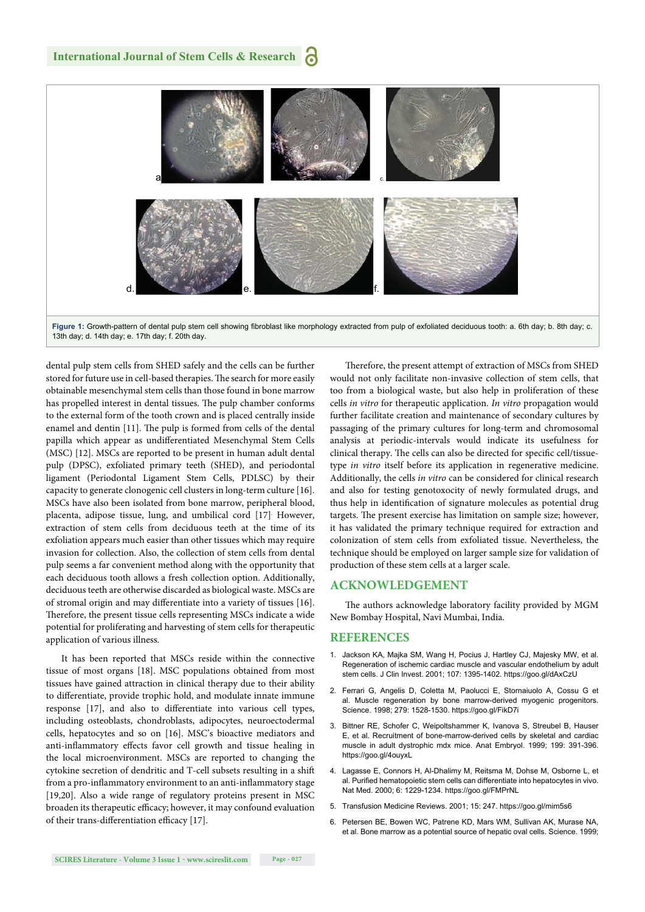

dental pulp stem cells from SHED safely and the cells can be further stored for future use in cell-based therapies. The search for more easily obtainable mesenchymal stem cells than those found in bone marrow has propelled interest in dental tissues. The pulp chamber conforms to the external form of the tooth crown and is placed centrally inside enamel and dentin [11]. The pulp is formed from cells of the dental papilla which appear as undifferentiated Mesenchymal Stem Cells (MSC) [12]. MSCs are reported to be present in human adult dental pulp (DPSC), exfoliated primary teeth (SHED), and periodontal ligament (Periodontal Ligament Stem Cells, PDLSC) by their capacity to generate clonogenic cell clusters in long-term culture [16]. MSCs have also been isolated from bone marrow, peripheral blood, placenta, adipose tissue, lung, and umbilical cord [17]. However, extraction of stem cells from deciduous teeth at the time of its exfoliation appears much easier than other tissues which may require invasion for collection. Also, the collection of stem cells from dental pulp seems a far convenient method along with the opportunity that each deciduous tooth allows a fresh collection option. Additionally, deciduous teeth are otherwise discarded as biological waste. MSCs are of stromal origin and may differentiate into a variety of tissues [16]. Therefore, the present tissue cells representing MSCs indicate a wide potential for proliferating and harvesting of stem cells for therapeutic application of various illness.

It has been reported that MSCs reside within the connective tissue of most organs [18]. MSC populations obtained from most tissues have gained attraction in clinical therapy due to their ability to differentiate, provide trophic hold, and modulate innate immune response [17], and also to differentiate into various cell types, including osteoblasts, chondroblasts, adipocytes, neuroectodermal cells, hepatocytes and so on [16]. MSC's bioactive mediators and anti-inflammatory effects favor cell growth and tissue healing in the local microenvironment. MSCs are reported to changing the cytokine secretion of dendritic and T-cell subsets resulting in a shift from a pro-inflammatory environment to an anti-inflammatory stage [19,20]. Also a wide range of regulatory proteins present in MSC broaden its therapeutic efficacy; however, it may confound evaluation of their trans-differentiation efficacy [17].

Therefore, the present attempt of extraction of MSCs from SHED would not only facilitate non-invasive collection of stem cells, that too from a biological waste, but also help in proliferation of these cells *in vitro* for therapeutic application. *In vitro* propagation would further facilitate creation and maintenance of secondary cultures by passaging of the primary cultures for long-term and chromosomal analysis at periodic-intervals would indicate its usefulness for clinical therapy. The cells can also be directed for specific cell/tissuetype *in vitro* itself before its application in regenerative medicine. Additionally, the cells *in vitro* can be considered for clinical research and also for testing genotoxocity of newly formulated drugs, and thus help in identification of signature molecules as potential drug targets. The present exercise has limitation on sample size; however, it has validated the primary technique required for extraction and colonization of stem cells from exfoliated tissue. Nevertheless, the technique should be employed on larger sample size for validation of production of these stem cells at a larger scale.

#### **ACKNOWLEDGEMENT**

The authors acknowledge laboratory facility provided by MGM New Bombay Hospital, Navi Mumbai, India.

#### **REFERENCES**

- 1. Jackson KA, Majka SM, Wang H, Pocius J, Hartley CJ, Majesky MW, et al. Regeneration of ischemic cardiac muscle and vascular endothelium by adult stem cells. J Clin Invest. 2001; 107: 1395-1402. https://goo.gl/dAxCzU
- 2. Ferrari G, Angelis D, Coletta M, Paolucci E, Stornaiuolo A, Cossu G et al. Muscle regeneration by bone marrow-derived myogenic progenitors. Science. 1998; 279: 1528-1530. https://goo.gl/FikD7i
- 3. Bittner RE, Schofer C, Weipoltshammer K, Ivanova S, Streubel B, Hauser E, et al. Recruitment of bone-marrow-derived cells by skeletal and cardiac muscle in adult dystrophic mdx mice. Anat Embryol. 1999; 199: 391-396. https://goo.gl/4ouyxL
- 4. Lagasse E, Connors H, Al-Dhalimy M, Reitsma M, Dohse M, Osborne L, et al. Purified hematopoietic stem cells can differentiate into hepatocytes in vivo. Nat Med. 2000; 6: 1229-1234. https://goo.gl/FMPrNL
- 5. Transfusion Medicine Reviews. 2001; 15: 247. https://goo.gl/mim5s6
- 6. Petersen BE, Bowen WC, Patrene KD, Mars WM, Sullivan AK, Murase NA, et al. Bone marrow as a potential source of hepatic oval cells. Science. 1999;